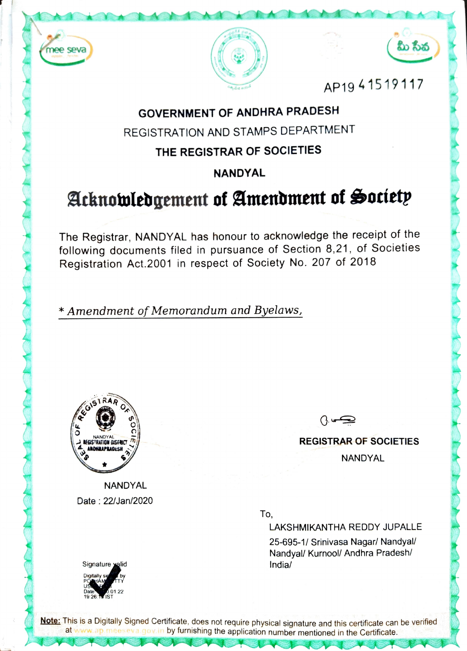





AP1941519117

## GOVERNMENT OF ANDHRA PRADESH

REGISTRATION AND STAMPS DEPARTMENT

### THE REGISTRAR OF SOCIETIES

NANDYAL

# Acknowledgement of Amendment of Society

The Registrar, NANDYAL has honour to acknowledge the receipt of the following documents filed in pursuance of Section 8,21. of Societies Registration Act.2001 in respect of Society No. 207 of 2018

Amendment of Memorandum and Byelaws,



**NANDYAL** Date: 22/Jan/2020

ڪس ()

REGISTRAR OF SOCIETIES

NANDYAL

To,

LAKSHMIKANTHA REDDY JUPALLE 25-695-1/ Srinivasa Nagar/ Nandyal/ Nandyal/ Kurnool/ Andhra Pradesh/



Note: This is a Digitally Signed Certificate, does not require physical signature and this certificate can be verified at www.ap meeseva.gov.in by furnishing the application number mentioned in the Certificate.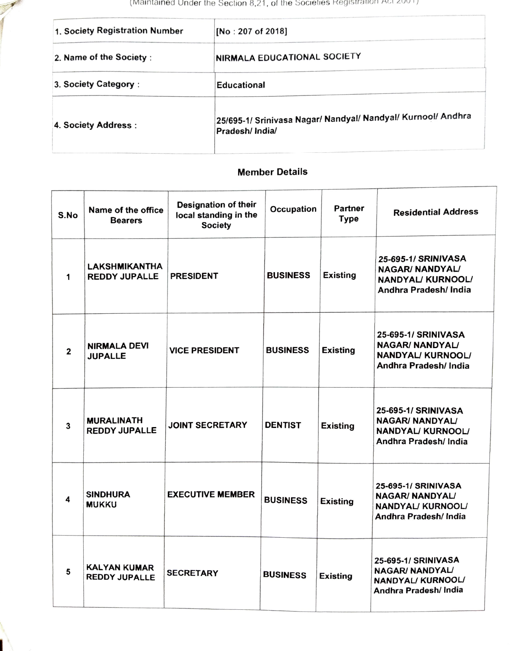(Maintained Under the Section 8,21, of the Societies Registration Act 2001)

| 1. Society Registration Number | [No : 207 of 2018]                                                             |  |
|--------------------------------|--------------------------------------------------------------------------------|--|
| 2. Name of the Society:        | <b>INIRMALA EDUCATIONAL SOCIETY</b>                                            |  |
| 3. Society Category:           | <b>Educational</b>                                                             |  |
| 4. Society Address:            | 25/695-1/ Srinivasa Nagar/ Nandyal/ Nandyal/ Kurnool/ Andhra<br>Pradesh/India/ |  |

### Member Details

| S.No         | Name of the office<br><b>Bearers</b>        | <b>Designation of their</b><br>local standing in the<br><b>Society</b> | Occupation      | Partner<br><b>Type</b> | <b>Residential Address</b>                                                                         |
|--------------|---------------------------------------------|------------------------------------------------------------------------|-----------------|------------------------|----------------------------------------------------------------------------------------------------|
| 1            | LAKSHMIKANTHA<br><b>REDDY JUPALLE</b>       | <b>PRESIDENT</b>                                                       | <b>BUSINESS</b> | <b>Existing</b>        | 25-695-1/ SRINIVASA<br>NAGAR/ NANDYAL/<br><b>NANDYAL/ KURNOOL/</b><br>Andhra Pradesh/ India        |
| $\mathbf{2}$ | <b>NIRMALA DEVI</b><br><b>JUPALLE</b>       | <b>VICE PRESIDENT</b>                                                  | <b>BUSINESS</b> | <b>Existing</b>        | 25-695-1/ SRINIVASA<br><b>NAGAR/ NANDYAL/</b><br><b>NANDYAL/ KURNOOL/</b><br>Andhra Pradesh/ India |
| 3            | <b>MURALINATH</b><br><b>REDDY JUPALLE</b>   | <b>JOINT SECRETARY</b>                                                 | <b>DENTIST</b>  | <b>Existing</b>        | 25-695-1/ SRINIVASA<br><b>NAGAR/ NANDYAL/</b><br><b>NANDYAL/ KURNOOL/</b><br>Andhra Pradesh/ India |
| 4            | <b>SINDHURA</b><br><b>MUKKU</b>             | <b>EXECUTIVE MEMBER</b>                                                | <b>BUSINESS</b> | <b>Existing</b>        | 25-695-1/ SRINIVASA<br><b>NAGAR/ NANDYAL/</b><br>NANDYAL/ KURNOOL/<br>Andhra Pradesh/ India        |
| 5            | <b>KALYAN KUMAR</b><br><b>REDDY JUPALLE</b> | <b>SECRETARY</b>                                                       | <b>BUSINESS</b> | <b>Existing</b>        | 25-695-1/ SRINIVASA<br>NAGAR/ NANDYAL/<br>NANDYAL/KURNOOL/<br>Andhra Pradesh/ India                |